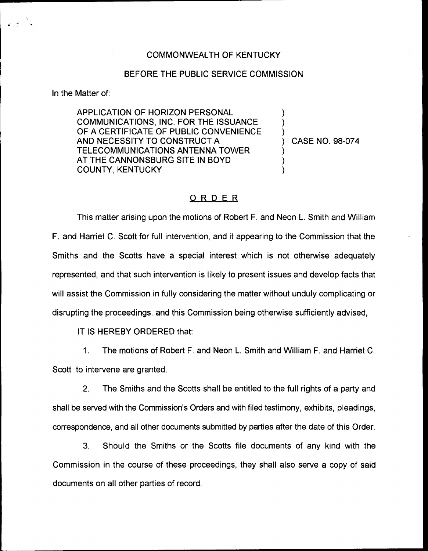## COMMONWEALTH OF KENTUCKY

## BEFORE THE PUBLIC SERVICE COMMISSION

In the Matter of:

APPLICATION OF HORIZON PERSONAL COMMUNICATIONS, INC. FOR THE ISSUANCE OF A CERTIFICATE OF PUBLIC CONVENIENCE AND NECESSITY TO CONSTRUCT A TELECOMMUNICATIONS ANTENNA TOWER AT THE CANNONSBURG SITE IN BOYD COUNTY, KENTUCKY

) CASE NO. 98-074

) ) )

) ) )

## ORDER

This matter arising upon the motions of Robert F. and Neon L. Smith and William F. and Harriet C. Scott for full intervention, and it appearing to the Commission that the Smiths and the Scotts have a special interest which is not otherwise adequately represented, and that such intervention is likely to present issues and develop facts that will assist the Commission in fully considering the matter without unduly complicating or disrupting the proceedings, and this Commission being otherwise sufficiently advised,

IT IS HEREBY ORDERED that:

1. The motions of Robert F. and Neon L. Smith and William F. and Harriet C. Scott to intervene are granted.

2. The Smiths and the Scotts shall be entitled to the full rights of a party and shall be served with the Commission's Orders and with filed testimony, exhibits, pleadings, correspondence, and all other documents submitted by parties after the date of this Order.

3. Should the Smiths or the Scotts file documents of any kind with the Commission in the course of these proceedings, they shall also serve a copy of said documents on all other parties of record.